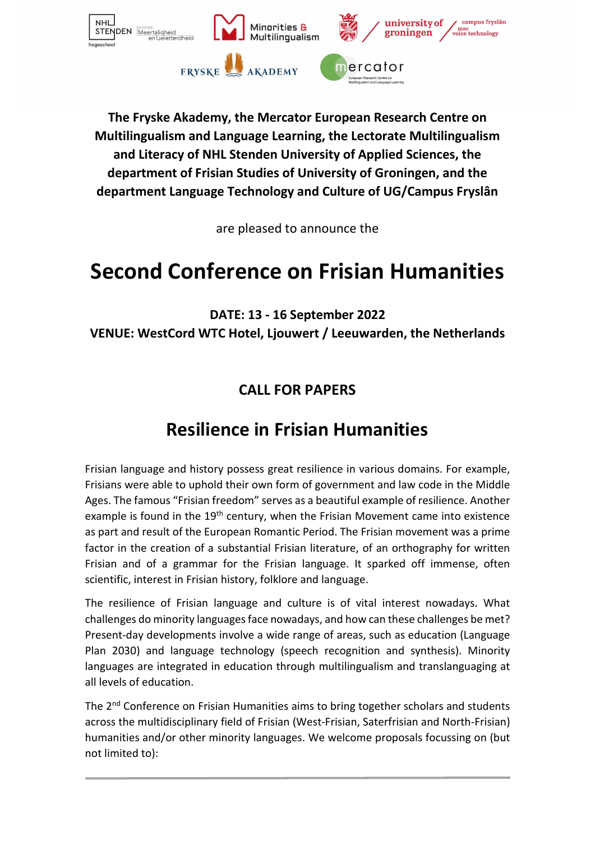

**The Fryske Akademy, the Mercator European Research Centre on Multilingualism and Language Learning, the Lectorate Multilingualism and Literacy of NHL Stenden University of Applied Sciences, the department of Frisian Studies of University of Groningen, and the department Language Technology and Culture of UG/Campus Fryslân**

are pleased to announce the

# **Second Conference on Frisian Humanities**

**DATE: 13 - 16 September 2022 VENUE: WestCord WTC Hotel, Ljouwert / Leeuwarden, the Netherlands** 

### **CALL FOR PAPERS**

## **Resilience in Frisian Humanities**

Frisian language and history possess great resilience in various domains. For example, Frisians were able to uphold their own form of government and law code in the Middle Ages. The famous "Frisian freedom" serves as a beautiful example of resilience. Another example is found in the 19<sup>th</sup> century, when the Frisian Movement came into existence as part and result of the European Romantic Period. The Frisian movement was a prime factor in the creation of a substantial Frisian literature, of an orthography for written Frisian and of a grammar for the Frisian language. It sparked off immense, often scientific, interest in Frisian history, folklore and language.

The resilience of Frisian language and culture is of vital interest nowadays. What challenges do minority languages face nowadays, and how can these challenges be met? Present-day developments involve a wide range of areas, such as education (Language Plan 2030) and language technology (speech recognition and synthesis). Minority languages are integrated in education through multilingualism and translanguaging at all levels of education.

The 2nd Conference on Frisian Humanities aims to bring together scholars and students across the multidisciplinary field of Frisian (West-Frisian, Saterfrisian and North-Frisian) humanities and/or other minority languages. We welcome proposals focussing on (but not limited to):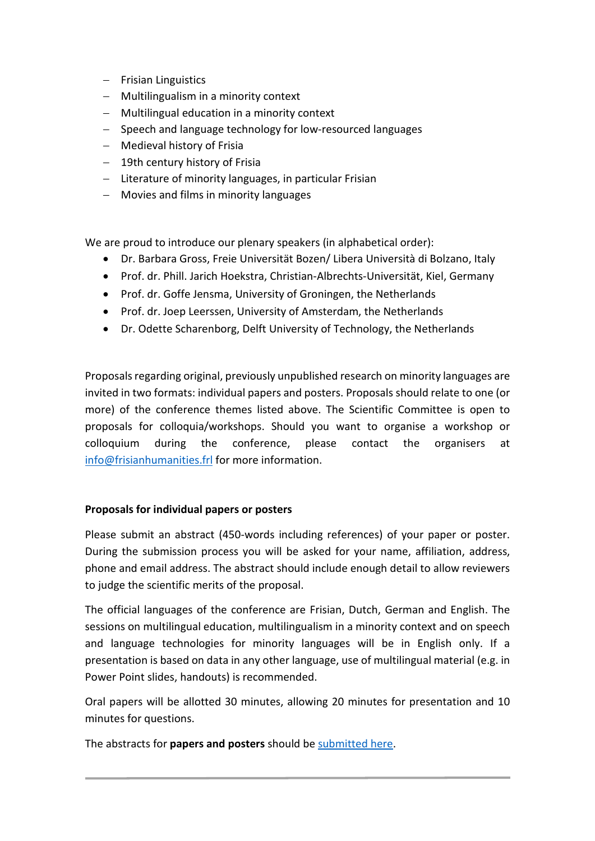- − Frisian Linguistics
- − Multilingualism in a minority context
- − Multilingual education in a minority context
- − Speech and language technology for low-resourced languages
- − Medieval history of Frisia
- − 19th century history of Frisia
- − Literature of minority languages, in particular Frisian
- − Movies and films in minority languages

We are proud to introduce our plenary speakers (in alphabetical order):

- Dr. Barbara Gross, Freie Universität Bozen/ Libera Università di Bolzano, Italy
- Prof. dr. Phill. Jarich Hoekstra, Christian-Albrechts-Universität, Kiel, Germany
- Prof. dr. Goffe Jensma, University of Groningen, the Netherlands
- Prof. dr. Joep Leerssen, University of Amsterdam, the Netherlands
- Dr. Odette Scharenborg, Delft University of Technology, the Netherlands

Proposals regarding original, previously unpublished research on minority languages are invited in two formats: individual papers and posters. Proposals should relate to one (or more) of the conference themes listed above. The Scientific Committee is open to proposals for colloquia/workshops. Should you want to organise a workshop or colloquium during the conference, please contact the organisers at [info@frisianhumanities.frl](mailto:info@frisianhumanities.frl) for more information.

#### **Proposals for individual papers or posters**

Please submit an abstract (450-words including references) of your paper or poster. During the submission process you will be asked for your name, affiliation, address, phone and email address. The abstract should include enough detail to allow reviewers to judge the scientific merits of the proposal.

The official languages of the conference are Frisian, Dutch, German and English. The sessions on multilingual education, multilingualism in a minority context and on speech and language technologies for minority languages will be in English only. If a presentation is based on data in any other language, use of multilingual material (e.g. in Power Point slides, handouts) is recommended.

Oral papers will be allotted 30 minutes, allowing 20 minutes for presentation and 10 minutes for questions.

The abstracts for **papers and posters** should be [submitted here.](https://docs.google.com/forms/d/e/1FAIpQLSdcMkMziqyJwCdO1yum21wPoAqQvlKEA96DAvkIVr2YQbeBIg/viewform)